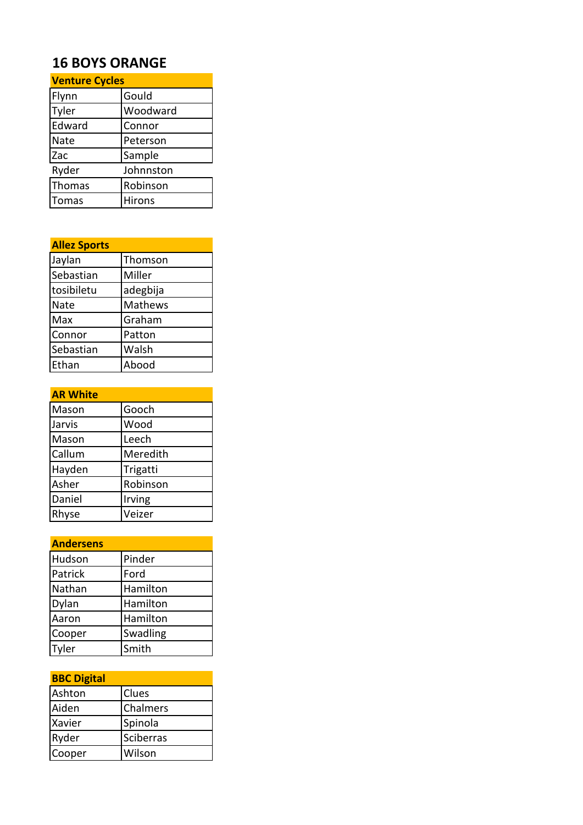# **16 BOYS ORANGE**

| <b>Venture Cycles</b> |           |
|-----------------------|-----------|
| Flynn                 | Gould     |
| Tyler                 | Woodward  |
| Edward                | Connor    |
| Nate                  | Peterson  |
| Zac                   | Sample    |
| Ryder                 | Johnnston |
| Thomas                | Robinson  |
| <b>Tomas</b>          | Hirons    |

| <b>Allez Sports</b> |          |
|---------------------|----------|
| Jaylan              | Thomson  |
| Sebastian           | Miller   |
| tosibiletu          | adegbija |
| Nate                | Mathews  |
| Max                 | Graham   |
| Connor              | Patton   |
| Sebastian           | Walsh    |
| Ethan               | Abood    |

| <b>AR White</b> |          |
|-----------------|----------|
| Mason           | Gooch    |
| Jarvis          | Wood     |
| Mason           | Leech    |
| Callum          | Meredith |
| Hayden          | Trigatti |
| Asher           | Robinson |
| Daniel          | Irving   |
| Rhyse           | Veizer   |

| <b>Andersens</b> |          |
|------------------|----------|
| Hudson           | Pinder   |
| Patrick          | Ford     |
| Nathan           | Hamilton |
| Dylan            | Hamilton |
| Aaron            | Hamilton |
| Cooper           | Swadling |
| Tyler            | Smith    |

| <b>BBC Digital</b> |              |
|--------------------|--------------|
| Ashton             | <b>Clues</b> |
| Aiden              | Chalmers     |
| Xavier             | Spinola      |
| Ryder              | Sciberras    |
| Cooper             | Wilson       |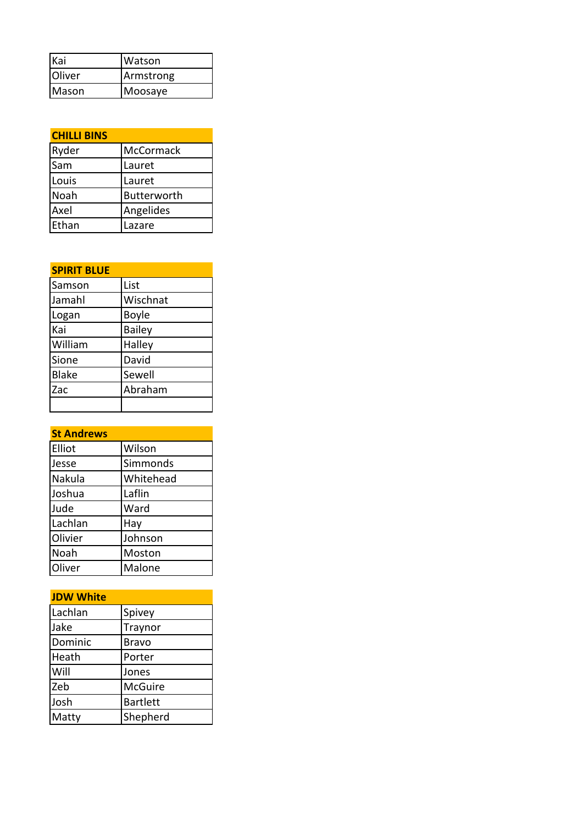| Kai    | IWatson   |
|--------|-----------|
| Oliver | Armstrong |
| Mason  | Moosaye   |

| <b>CHILLI BINS</b> |             |
|--------------------|-------------|
| Ryder              | McCormack   |
| Sam                | Lauret      |
| Louis              | Lauret      |
| Noah               | Butterworth |
| Axel               | Angelides   |
| Ethan              | Lazare      |

| <b>SPIRIT BLUE</b> |               |
|--------------------|---------------|
| Samson             | List          |
| Jamahl             | Wischnat      |
| Logan              | <b>Boyle</b>  |
| Kai                | <b>Bailey</b> |
| William            | Halley        |
| Sione              | David         |
| <b>Blake</b>       | Sewell        |
| Zac                | Abraham       |
|                    |               |

#### **St Andrews**

| Elliot  | Wilson    |
|---------|-----------|
| Jesse   | Simmonds  |
| Nakula  | Whitehead |
| Joshua  | Laflin    |
| Jude    | Ward      |
| Lachlan | Hay       |
| Olivier | Johnson   |
| Noah    | Moston    |
| Oliver  | Malone    |

| <b>JDW White</b> |                 |
|------------------|-----------------|
| Lachlan          | Spivey          |
| Jake             | Traynor         |
| Dominic          | <b>Bravo</b>    |
| Heath            | Porter          |
| Will             | Jones           |
| Zeb              | <b>McGuire</b>  |
| Josh             | <b>Bartlett</b> |
| Matty            | Shepherd        |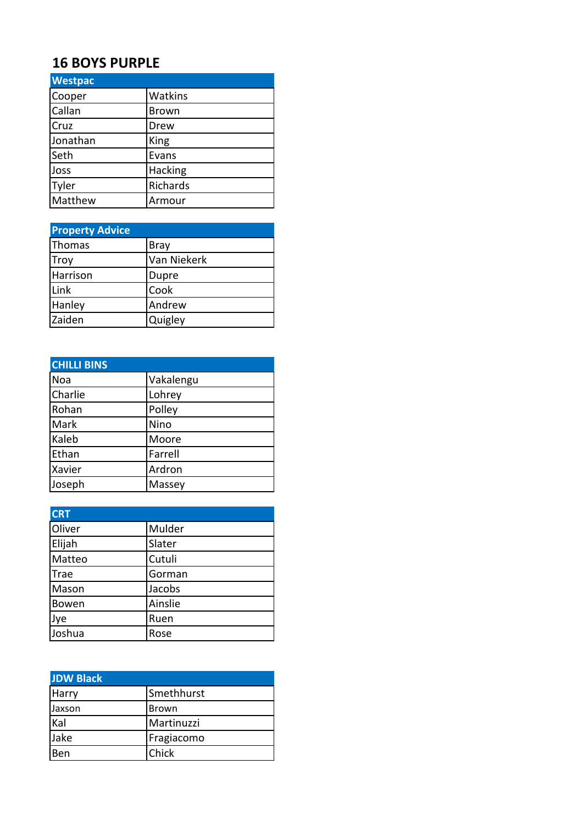# **16 BOYS PURPLE**

| <b>Westpac</b> |              |
|----------------|--------------|
| Cooper         | Watkins      |
| Callan         | <b>Brown</b> |
| Cruz           | Drew         |
| Jonathan       | King         |
| Seth           | Evans        |
| Joss           | Hacking      |
| Tyler          | Richards     |
| Matthew        | Armour       |

| <b>Property Advice</b> |              |
|------------------------|--------------|
| Thomas                 | Bray         |
| Troy                   | Van Niekerk  |
| Harrison               | <b>Dupre</b> |
| Link                   | Cook         |
| Hanley                 | Andrew       |
| Zaiden                 | Quigley      |

| <b>CHILLI BINS</b> |           |
|--------------------|-----------|
| Noa                | Vakalengu |
| Charlie            | Lohrey    |
| Rohan              | Polley    |
| Mark               | Nino      |
| Kaleb              | Moore     |
| Ethan              | Farrell   |
| Xavier             | Ardron    |
| Joseph             | Massey    |

| <b>CRT</b>  |         |
|-------------|---------|
| Oliver      | Mulder  |
| Elijah      | Slater  |
| Matteo      | Cutuli  |
| <b>Trae</b> | Gorman  |
| Mason       | Jacobs  |
| Bowen       | Ainslie |
| Jye         | Ruen    |
| Joshua      | Rose    |

| <b>JDW Black</b> |              |
|------------------|--------------|
| <b>Harry</b>     | Smethhurst   |
| Jaxson           | <b>Brown</b> |
| Kal              | Martinuzzi   |
| Jake             | Fragiacomo   |
| Ben              | Chick        |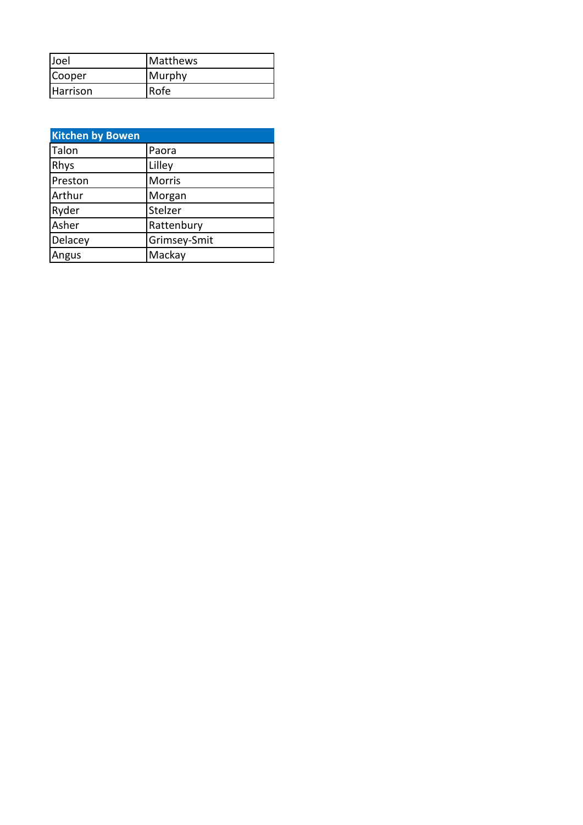| <b>Joel</b>     | <b>Matthews</b> |
|-----------------|-----------------|
| Cooper          | Murphy          |
| <b>Harrison</b> | lRofe.          |

| <b>Kitchen by Bowen</b> |              |
|-------------------------|--------------|
| Talon                   | Paora        |
| Rhys                    | Lilley       |
| Preston                 | Morris       |
| Arthur                  | Morgan       |
| Ryder                   | Stelzer      |
| Asher                   | Rattenbury   |
| Delacey                 | Grimsey-Smit |
| Angus                   | Mackay       |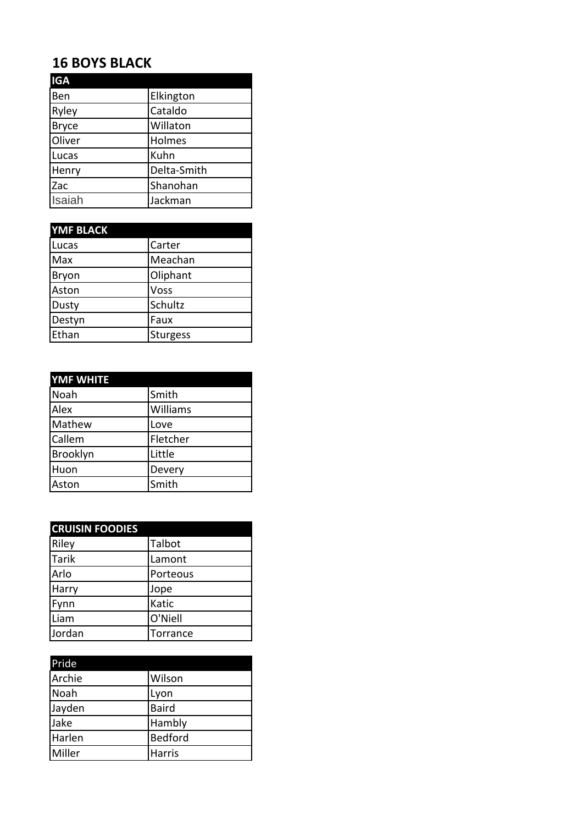## **16 BOYS BLACK**

| <b>IGA</b>   |             |
|--------------|-------------|
| Ben          | Elkington   |
| Ryley        | Cataldo     |
| <b>Bryce</b> | Willaton    |
| Oliver       | Holmes      |
| Lucas        | Kuhn        |
| Henry        | Delta-Smith |
| Zac          | Shanohan    |
| Isaiah       | Jackman     |

| <b>YMF BLACK</b> |                 |
|------------------|-----------------|
| Lucas            | Carter          |
| Max              | Meachan         |
| Bryon            | Oliphant        |
| Aston            | Voss            |
| Dusty            | Schultz         |
| Destyn           | Faux            |
| Ethan            | <b>Sturgess</b> |

| <b>YMF WHITE</b> |          |
|------------------|----------|
| Noah             | Smith    |
| Alex             | Williams |
| Mathew           | Love     |
| Callem           | Fletcher |
| Brooklyn         | Little   |
| Huon             | Devery   |
| Aston            | Smith    |

| <b>CRUISIN FOODIES</b> |          |
|------------------------|----------|
| Riley                  | Talbot   |
| <b>Tarik</b>           | Lamont   |
| Arlo                   | Porteous |
| Harry                  | Jope     |
| Fynn                   | Katic    |
| Liam                   | O'Niell  |
| Jordan                 | Torrance |

| Pride  |                |
|--------|----------------|
| Archie | Wilson         |
| Noah   | Lyon           |
| Jayden | <b>Baird</b>   |
| Jake   | Hambly         |
| Harlen | <b>Bedford</b> |
| Miller | Harris         |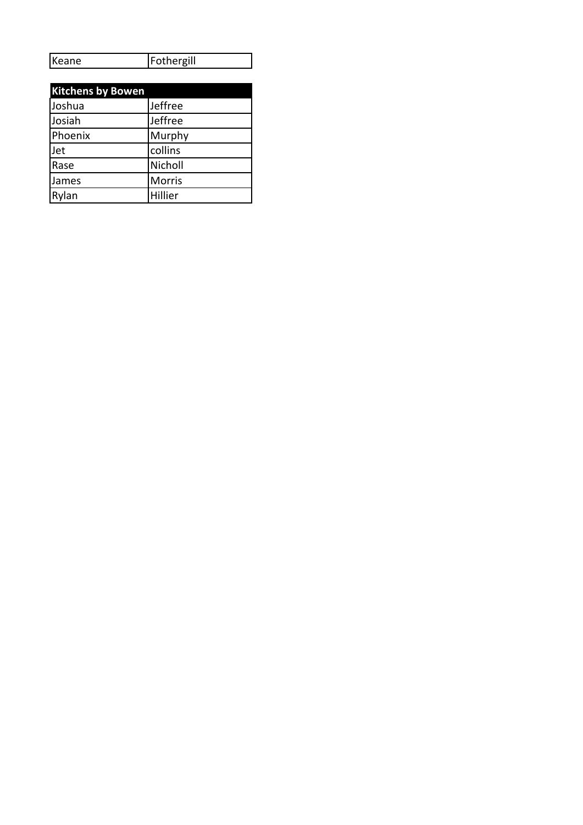| Keane | Fothergill |
|-------|------------|
|       |            |

| <b>Kitchens by Bowen</b> |               |
|--------------------------|---------------|
| Joshua                   | Jeffree       |
| Josiah                   | Jeffree       |
| Phoenix                  | Murphy        |
| Jet                      | collins       |
| Rase                     | Nicholl       |
| James                    | <b>Morris</b> |
| Rvlan                    | Hillier       |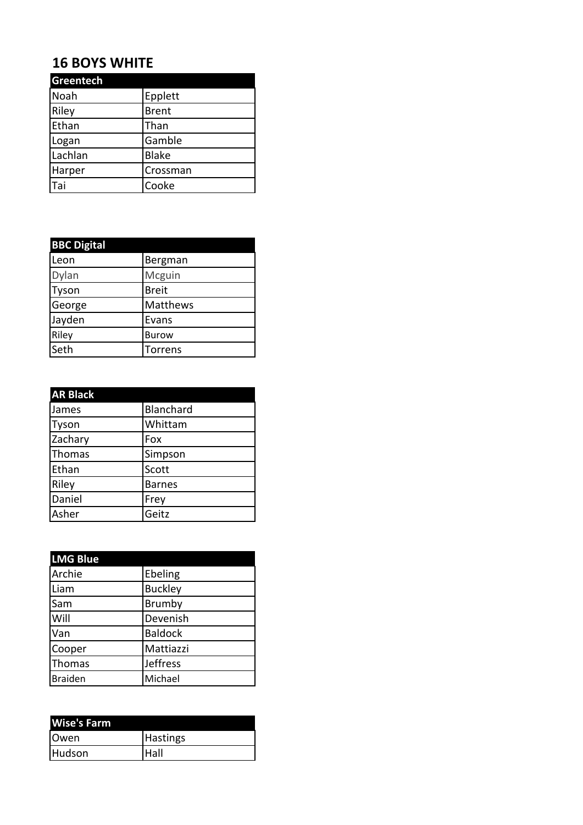## **16 BOYS WHITE**

| Greentech |              |
|-----------|--------------|
| Noah      | Epplett      |
| Riley     | <b>Brent</b> |
| Ethan     | Than         |
| Logan     | Gamble       |
| Lachlan   | <b>Blake</b> |
| Harper    | Crossman     |
| Tai       | Cooke        |

| <b>BBC Digital</b> |                |
|--------------------|----------------|
| Leon               | Bergman        |
| Dylan              | Mcguin         |
| Tyson              | <b>Breit</b>   |
| George             | Matthews       |
| Jayden             | Evans          |
| Riley              | <b>Burow</b>   |
| Seth               | <b>Torrens</b> |

| <b>AR Black</b> |               |
|-----------------|---------------|
| James           | Blanchard     |
| Tyson           | Whittam       |
| Zachary         | Fox           |
| Thomas          | Simpson       |
| Ethan           | Scott         |
| Riley           | <b>Barnes</b> |
| Daniel          | Frey          |
| Asher           | Geitz         |

| <b>LMG Blue</b> |                |
|-----------------|----------------|
| Archie          | Ebeling        |
| Liam            | <b>Buckley</b> |
| Sam             | <b>Brumby</b>  |
| Will            | Devenish       |
| Van             | <b>Baldock</b> |
| Cooper          | Mattiazzi      |
| Thomas          | Jeffress       |
| <b>Braiden</b>  | Michael        |

| <b>Wise's Farm</b> |                 |
|--------------------|-----------------|
| <b>Owen</b>        | <b>Hastings</b> |
| Hudson             | Hall            |